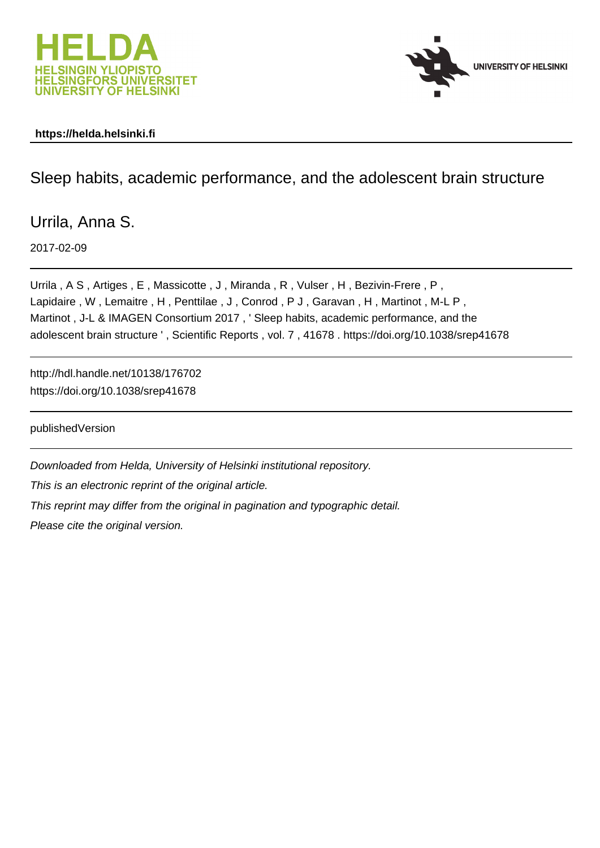



#### **https://helda.helsinki.fi**

### Sleep habits, academic performance, and the adolescent brain structure

Urrila, Anna S.

2017-02-09

Urrila , A S , Artiges , E , Massicotte , J , Miranda , R , Vulser , H , Bezivin-Frere , P , Lapidaire, W, Lemaitre, H, Penttilae, J, Conrod, PJ, Garavan, H, Martinot, M-L P, Martinot , J-L & IMAGEN Consortium 2017 , ' Sleep habits, academic performance, and the adolescent brain structure ' , Scientific Reports , vol. 7 , 41678 . https://doi.org/10.1038/srep41678

http://hdl.handle.net/10138/176702 https://doi.org/10.1038/srep41678

publishedVersion

Downloaded from Helda, University of Helsinki institutional repository.

This is an electronic reprint of the original article.

This reprint may differ from the original in pagination and typographic detail.

Please cite the original version.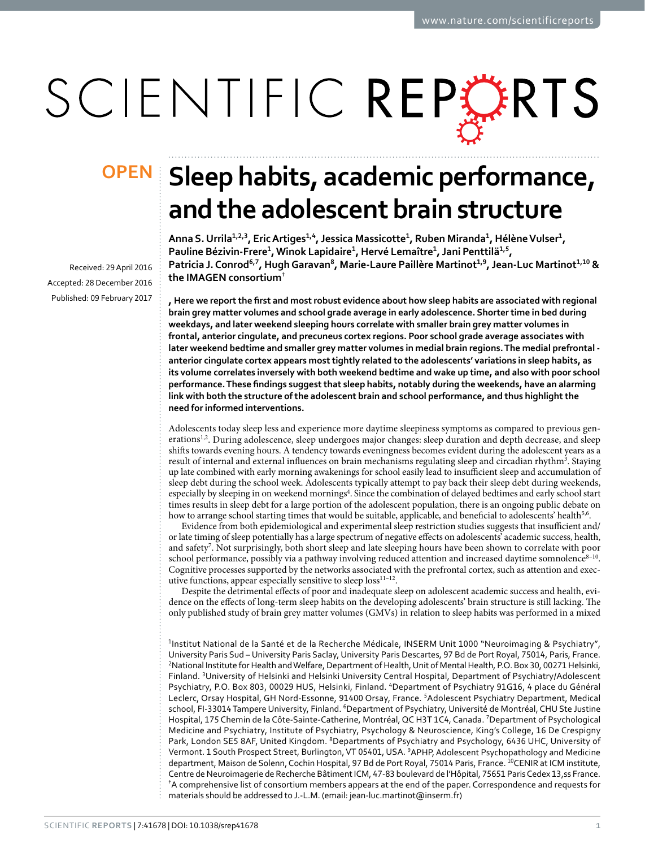# SCIENTIFIC REPERTS

Received: 29 April 2016 accepted: 28 December 2016 Published: 09 February 2017

## **Sleep habits, academic performance, OPENand the adolescent brain structure**

Anna S. Urrila<sup>1,2,3</sup>, Eric Artiges<sup>1,4</sup>, Jessica Massicotte<sup>1</sup>, Ruben Miranda<sup>1</sup>, Hélène Vulser<sup>1</sup>, **Pauline Bézivin-Frere<sup>1</sup>, Winok Lapidaire<sup>1</sup>, Hervé Lemaître<sup>1</sup>, Jani Penttilä<sup>1</sup>,<sup>5</sup>,**  Patricia J. Conrod<sup>6,7</sup>, Hugh Garavan<sup>8</sup>, Marie-Laure Paillère Martinot<sup>1,9</sup>, Jean-Luc Martinot<sup>1,10</sup> & **the IMAGEN consortium†**

**, Here we report the first and most robust evidence about how sleep habits are associated with regional brain grey matter volumes and school grade average in early adolescence. Shorter time in bed during weekdays, and later weekend sleeping hours correlate with smaller brain grey matter volumes in frontal, anterior cingulate, and precuneus cortex regions. Poor school grade average associates with later weekend bedtime and smaller grey matter volumes in medial brain regions. The medial prefrontal anterior cingulate cortex appears most tightly related to the adolescents' variations in sleep habits, as its volume correlates inversely with both weekend bedtime and wake up time, and also with poor school performance. These findings suggest that sleep habits, notably during the weekends, have an alarming link with both the structure of the adolescent brain and school performance, and thus highlight the need for informed interventions.**

Adolescents today sleep less and experience more daytime sleepiness symptoms as compared to previous generations<sup>1,2</sup>. During adolescence, sleep undergoes major changes: sleep duration and depth decrease, and sleep shifts towards evening hours. A tendency towards eveningness becomes evident during the adolescent years as a result of internal and external influences on brain mechanisms regulating sleep and circadian rhythm<sup>3</sup>. Staying up late combined with early morning awakenings for school easily lead to insufficient sleep and accumulation of sleep debt during the school week. Adolescents typically attempt to pay back their sleep debt during weekends, especially by sleeping in on weekend mornings<sup>4</sup>. Since the combination of delayed bedtimes and early school start times results in sleep debt for a large portion of the adolescent population, there is an ongoing public debate on how to arrange school starting times that would be suitable, applicable, and beneficial to adolescents' health<sup>5,6</sup>.

Evidence from both epidemiological and experimental sleep restriction studies suggests that insufficient and/ or late timing of sleep potentially has a large spectrum of negative effects on adolescents' academic success, health, and safety7 . Not surprisingly, both short sleep and late sleeping hours have been shown to correlate with poor school performance, possibly via a pathway involving reduced attention and increased daytime somnolence<sup>8-10</sup>. Cognitive processes supported by the networks associated with the prefrontal cortex, such as attention and executive functions, appear especially sensitive to sleep loss $^{11-12}$ .

Despite the detrimental effects of poor and inadequate sleep on adolescent academic success and health, evidence on the effects of long-term sleep habits on the developing adolescents' brain structure is still lacking. The only published study of brain grey matter volumes (GMVs) in relation to sleep habits was performed in a mixed

<sup>1</sup>Institut National de la Santé et de la Recherche Médicale, INSERM Unit 1000 "Neuroimaging & Psychiatry", University Paris Sud – University Paris Saclay, University Paris Descartes, 97 Bd de Port Royal, 75014, Paris, France. 2 National Institute for Health and Welfare, Department of Health, Unit of Mental Health, P.O. Box 30, 00271 Helsinki, Finland. 3University of Helsinki and Helsinki University Central Hospital, Department of Psychiatry/Adolescent Psychiatry, P.O. Box 803, 00029 HUS, Helsinki, Finland. 4Department of Psychiatry 91G16, 4 place du Général Leclerc, Orsay Hospital, GH Nord-Essonne, 91400 Orsay, France. 5Adolescent Psychiatry Department, Medical school, FI-33014 Tampere University, Finland. <sup>6</sup>Department of Psychiatry, Université de Montréal, CHU Ste Justine Hospital, 175 Chemin de la Côte-Sainte-Catherine, Montréal, QC H3T 1C4, Canada. <sup>7</sup>Department of Psychological Medicine and Psychiatry, Institute of Psychiatry, Psychology & Neuroscience, King's College, 16 De Crespigny Park, London SE5 8AF, United Kingdom. <sup>8</sup>Departments of Psychiatry and Psychology, 6436 UHC, University of Vermont. 1 South Prospect Street, Burlington, VT 05401, USA. <sup>9</sup>APHP, Adolescent Psychopathology and Medicine department, Maison de Solenn, Cochin Hospital, 97 Bd de Port Royal, 75014 Paris, France. <sup>10</sup>CENIR at ICM institute, Centre de Neuroimagerie de Recherche Bâtiment ICM, 47-83 boulevard de l'Hôpital, 75651 Paris Cedex 13,ss France. † A comprehensive list of consortium members appears at the end of the paper. Correspondence and requests for materials should be addressed to J.-L.M. (email: [jean-luc.martinot@inserm.fr](mailto:jean-luc.martinot@inserm.fr))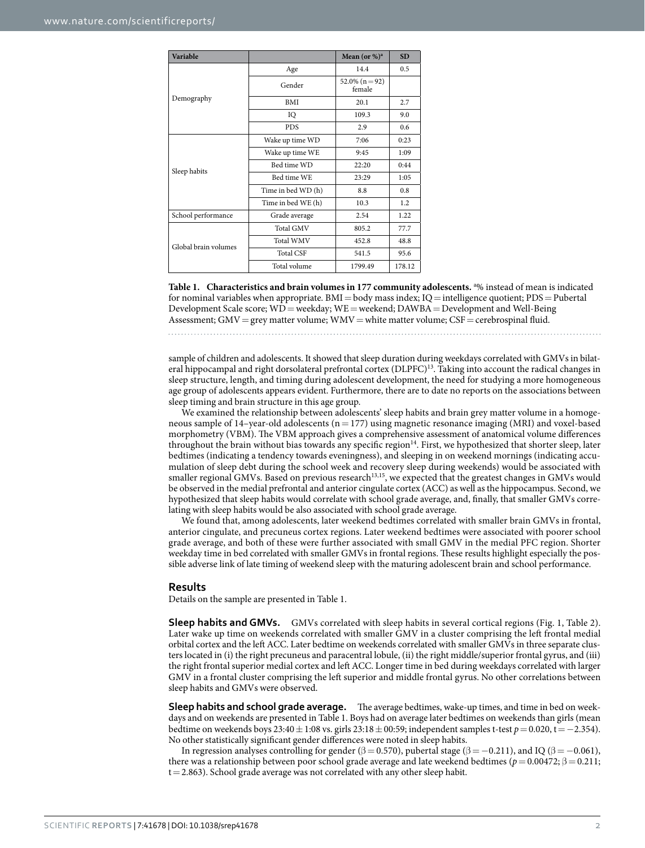| Variable             |                               | Mean (or $\%$ ) <sup>a</sup>                                                                                        | <b>SD</b> |
|----------------------|-------------------------------|---------------------------------------------------------------------------------------------------------------------|-----------|
|                      | Age                           | 14.4                                                                                                                | 0.5       |
| Demography           | Gender                        | $52.0\%$ (n = 92)<br>female                                                                                         |           |
|                      | <b>BMI</b>                    | 20.1<br>109.3<br>2.9<br>7:06<br>9:45<br>22:20<br>23:29<br>8.8<br>10.3<br>2.54<br>805.2<br>452.8<br>541.5<br>1799.49 | 2.7       |
|                      | IQ                            |                                                                                                                     | 9.0       |
|                      | <b>PDS</b><br>Wake up time WD |                                                                                                                     | 0.6       |
|                      |                               |                                                                                                                     | 0:23      |
| Sleep habits         | Wake up time WE               |                                                                                                                     | 1:09      |
|                      | Bed time WD                   |                                                                                                                     | 0:44      |
|                      | Bed time WE                   |                                                                                                                     | 1:05      |
|                      | Time in bed WD (h)            |                                                                                                                     | 0.8       |
|                      | Time in bed WE (h)            |                                                                                                                     | 1.2       |
| School performance   | Grade average                 |                                                                                                                     | 1.22      |
| Global brain volumes | <b>Total GMV</b>              |                                                                                                                     | 77.7      |
|                      | Total WMV                     |                                                                                                                     | 48.8      |
|                      | <b>Total CSF</b>              |                                                                                                                     | 95.6      |
|                      | Total volume                  |                                                                                                                     | 178.12    |

**Table 1. Characteristics and brain volumes in 177 community adolescents.** <sup>a</sup> % instead of mean is indicated for nominal variables when appropriate. BMI = body mass index; IQ = intelligence quotient; PDS = Pubertal Development Scale score;  $WD$  = weekday; WE = weekend; DAWBA = Development and Well-Being Assessment; GMV = grey matter volume; WMV = white matter volume; CSF = cerebrospinal fluid.

sample of children and adolescents. It showed that sleep duration during weekdays correlated with GMVs in bilateral hippocampal and right dorsolateral prefrontal cortex (DLPFC)13. Taking into account the radical changes in sleep structure, length, and timing during adolescent development, the need for studying a more homogeneous age group of adolescents appears evident. Furthermore, there are to date no reports on the associations between sleep timing and brain structure in this age group.

We examined the relationship between adolescents' sleep habits and brain grey matter volume in a homogeneous sample of 14–year-old adolescents ( $n= 177$ ) using magnetic resonance imaging (MRI) and voxel-based morphometry (VBM). The VBM approach gives a comprehensive assessment of anatomical volume differences throughout the brain without bias towards any specific region<sup>14</sup>. First, we hypothesized that shorter sleep, later bedtimes (indicating a tendency towards eveningness), and sleeping in on weekend mornings (indicating accumulation of sleep debt during the school week and recovery sleep during weekends) would be associated with smaller regional GMVs. Based on previous research<sup>13,15</sup>, we expected that the greatest changes in GMVs would be observed in the medial prefrontal and anterior cingulate cortex (ACC) as well as the hippocampus. Second, we hypothesized that sleep habits would correlate with school grade average, and, finally, that smaller GMVs correlating with sleep habits would be also associated with school grade average.

We found that, among adolescents, later weekend bedtimes correlated with smaller brain GMVs in frontal, anterior cingulate, and precuneus cortex regions. Later weekend bedtimes were associated with poorer school grade average, and both of these were further associated with small GMV in the medial PFC region. Shorter weekday time in bed correlated with smaller GMVs in frontal regions. These results highlight especially the possible adverse link of late timing of weekend sleep with the maturing adolescent brain and school performance.

#### **Results**

Details on the sample are presented in Table 1.

**Sleep habits and GMVs.** GMVs correlated with sleep habits in several cortical regions (Fig. 1, Table 2). Later wake up time on weekends correlated with smaller GMV in a cluster comprising the left frontal medial orbital cortex and the left ACC. Later bedtime on weekends correlated with smaller GMVs in three separate clusters located in (i) the right precuneus and paracentral lobule, (ii) the right middle/superior frontal gyrus, and (iii) the right frontal superior medial cortex and left ACC. Longer time in bed during weekdays correlated with larger GMV in a frontal cluster comprising the left superior and middle frontal gyrus. No other correlations between sleep habits and GMVs were observed.

**Sleep habits and school grade average.** The average bedtimes, wake-up times, and time in bed on weekdays and on weekends are presented in Table 1. Boys had on average later bedtimes on weekends than girls (mean bedtime on weekends boys 23:40± 1:08 vs. girls 23:18± 00:59; independent samples t-test *p*= 0.020, t= −2.354). No other statistically significant gender differences were noted in sleep habits.

In regression analyses controlling for gender ( $\beta = 0.570$ ), pubertal stage ( $\beta = -0.211$ ), and IQ ( $\beta = -0.061$ ), there was a relationship between poor school grade average and late weekend bedtimes (*p* = 0.00472; β = 0.211;  $t=2.863$ ). School grade average was not correlated with any other sleep habit.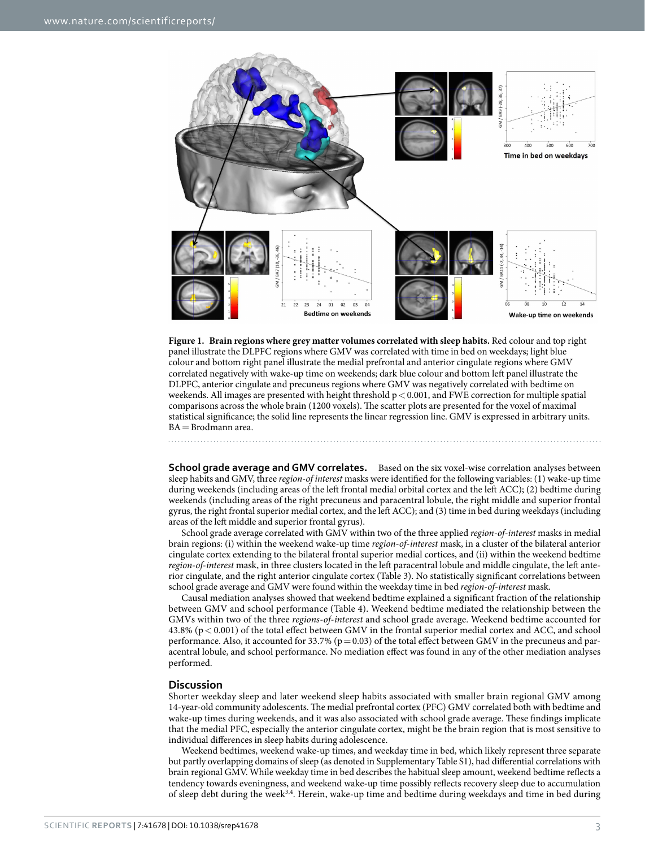

**Figure 1. Brain regions where grey matter volumes correlated with sleep habits.** Red colour and top right panel illustrate the DLPFC regions where GMV was correlated with time in bed on weekdays; light blue colour and bottom right panel illustrate the medial prefrontal and anterior cingulate regions where GMV correlated negatively with wake-up time on weekends; dark blue colour and bottom left panel illustrate the DLPFC, anterior cingulate and precuneus regions where GMV was negatively correlated with bedtime on weekends. All images are presented with height threshold  $p < 0.001$ , and FWE correction for multiple spatial comparisons across the whole brain (1200 voxels). The scatter plots are presented for the voxel of maximal statistical significance; the solid line represents the linear regression line. GMV is expressed in arbitrary units. BA=Brodmann area.

**School grade average and GMV correlates.** Based on the six voxel-wise correlation analyses between sleep habits and GMV, three *region*-*of interest* masks were identified for the following variables: (1) wake-up time during weekends (including areas of the left frontal medial orbital cortex and the left ACC); (2) bedtime during weekends (including areas of the right precuneus and paracentral lobule, the right middle and superior frontal gyrus, the right frontal superior medial cortex, and the left ACC); and (3) time in bed during weekdays (including areas of the left middle and superior frontal gyrus).

School grade average correlated with GMV within two of the three applied *region*-*of*-*interest* masks in medial brain regions: (i) within the weekend wake-up time *region*-*of*-*interest* mask, in a cluster of the bilateral anterior cingulate cortex extending to the bilateral frontal superior medial cortices, and (ii) within the weekend bedtime *region*-*of*-*interest* mask, in three clusters located in the left paracentral lobule and middle cingulate, the left anterior cingulate, and the right anterior cingulate cortex (Table 3). No statistically significant correlations between school grade average and GMV were found within the weekday time in bed *region*-*of*-*interest* mask.

Causal mediation analyses showed that weekend bedtime explained a significant fraction of the relationship between GMV and school performance (Table 4). Weekend bedtime mediated the relationship between the GMVs within two of the three *regions*-*of*-*interest* and school grade average. Weekend bedtime accounted for 43.8% (p< 0.001) of the total effect between GMV in the frontal superior medial cortex and ACC, and school performance. Also, it accounted for 33.7% ( $p=0.03$ ) of the total effect between GMV in the precuneus and paracentral lobule, and school performance. No mediation effect was found in any of the other mediation analyses performed.

#### **Discussion**

Shorter weekday sleep and later weekend sleep habits associated with smaller brain regional GMV among 14-year-old community adolescents. The medial prefrontal cortex (PFC) GMV correlated both with bedtime and wake-up times during weekends, and it was also associated with school grade average. These findings implicate that the medial PFC, especially the anterior cingulate cortex, might be the brain region that is most sensitive to individual differences in sleep habits during adolescence.

Weekend bedtimes, weekend wake-up times, and weekday time in bed, which likely represent three separate but partly overlapping domains of sleep (as denoted in Supplementary Table S1), had differential correlations with brain regional GMV. While weekday time in bed describes the habitual sleep amount, weekend bedtime reflects a tendency towards eveningness, and weekend wake-up time possibly reflects recovery sleep due to accumulation of sleep debt during the week3,4. Herein, wake-up time and bedtime during weekdays and time in bed during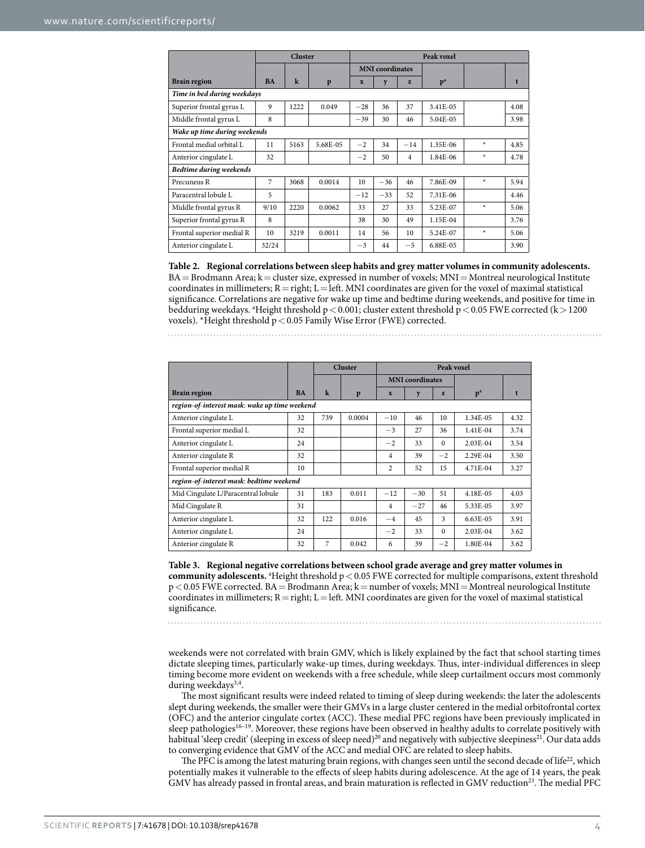|                              | <b>Cluster</b> |         | Peak voxel |                        |       |                |                |        |      |
|------------------------------|----------------|---------|------------|------------------------|-------|----------------|----------------|--------|------|
|                              |                |         |            | <b>MNI</b> coordinates |       |                |                |        |      |
| <b>Brain region</b>          | <b>BA</b>      | $\bf k$ | p          | $\mathbf{x}$           | y     | 7.             | p <sup>a</sup> |        | t    |
| Time in bed during weekdays  |                |         |            |                        |       |                |                |        |      |
| Superior frontal gyrus L     | 9              | 1222    | 0.049      | $-28$                  | 36    | 37             | 3.41E-05       |        | 4.08 |
| Middle frontal gyrus L       | 8              |         |            | $-39$                  | 30    | 46             | 5.04E-05       |        | 3.98 |
| Wake up time during weekends |                |         |            |                        |       |                |                |        |      |
| Frontal medial orbital L     | 11             | 5163    | 5.68E-05   | $-2$                   | 34    | $-14$          | 1.35E-06       | $\ast$ | 4.85 |
| Anterior cingulate L         | 32             |         |            | $-2$                   | 50    | $\overline{4}$ | 1.84E-06       | $\ast$ | 4.78 |
| Bedtime during weekends      |                |         |            |                        |       |                |                |        |      |
| Precuneus R                  | $\overline{7}$ | 3068    | 0.0014     | 10                     | $-36$ | 46             | 7.86E-09       | $\ast$ | 5.94 |
| Paracentral lobule L         | 5              |         |            | $-12$                  | $-33$ | 52             | 7.31E-06       |        | 4.46 |
| Middle frontal gyrus R       | 9/10           | 2220    | 0.0062     | 33                     | 27    | 33             | 5.23E-07       | $\ast$ | 5.06 |
| Superior frontal gyrus R     | 8              |         |            | 38                     | 30    | 49             | 1.15E-04       |        | 3.76 |
| Frontal superior medial R    | 10             | 3219    | 0.0011     | 14                     | 56    | 10             | 5.24E-07       | $\ast$ | 5.06 |
| Anterior cingulate L         | 32/24          |         |            | $-3$                   | 44    | $-5$           | 6.88E-05       |        | 3.90 |

**Table 2. Regional correlations between sleep habits and grey matter volumes in community adolescents.** BA = Brodmann Area; k = cluster size, expressed in number of voxels; MNI = Montreal neurological Institute coordinates in millimeters;  $R = right$ ;  $L = left$ . MNI coordinates are given for the voxel of maximal statistical significance. Correlations are negative for wake up time and bedtime during weekends, and positive for time in bedduring weekdays. <sup>a</sup>Height threshold  $p < 0.001$ ; cluster extent threshold  $p < 0.05$  FWE corrected (k > 1200 voxels). \*Height threshold p<0.05 Family Wise Error (FWE) corrected.

|                                               |           |         | <b>Cluster</b> | Peak voxel             |       |              |                |      |
|-----------------------------------------------|-----------|---------|----------------|------------------------|-------|--------------|----------------|------|
|                                               |           |         |                | <b>MNI</b> coordinates |       |              |                |      |
| <b>Brain region</b>                           | <b>BA</b> | $\bf k$ | p              | X                      | y     | $\mathbf{z}$ | p <sup>a</sup> |      |
| region-of-interest mask: wake up time weekend |           |         |                |                        |       |              |                |      |
| Anterior cingulate L                          | 32        | 739     | 0.0004         | $-10$                  | 46    | 10           | 1.34E-05       | 4.32 |
| Frontal superior medial L                     | 32        |         |                | $-3$                   | 27    | 36           | 1.41E-04       | 3.74 |
| Anterior cingulate L                          | 24        |         |                | $-2$                   | 33    | $\Omega$     | 2.03E-04       | 3.54 |
| Anterior cingulate R                          | 32        |         |                | $\overline{4}$         | 39    | $-2$         | 2.29E-04       | 3.50 |
| Frontal superior medial R                     | 10        |         |                | $\overline{c}$         | 52    | 15           | 4.71E-04       | 3.27 |
| region-of-interest mask: bedtime weekend      |           |         |                |                        |       |              |                |      |
| Mid Cingulate L/Paracentral lobule            | 31        | 183     | 0.011          | $-12$                  | $-30$ | 51           | 4.18E-05       | 4.03 |
| Mid Cingulate R                               | 31        |         |                | 4                      | $-27$ | 46           | 5.33E-05       | 3.97 |
| Anterior cingulate L                          | 32        | 122     | 0.016          | $-4$                   | 45    | $\mathbf{3}$ | $6.63E-0.5$    | 3.91 |
| Anterior cingulate L                          | 24        |         |                | $-2$                   | 33    | $\Omega$     | 2.03E-04       | 3.62 |
| Anterior cingulate R                          | 32        | 7       | 0.042          | 6                      | 39    | $-2$         | 1.80E-04       | 3.62 |

**Table 3. Regional negative correlations between school grade average and grey matter volumes in**  community adolescents. <sup>a</sup> Height threshold p < 0.05 FWE corrected for multiple comparisons, extent threshold  $p < 0.05$  FWE corrected. BA = Brodmann Area; k = number of voxels; MNI = Montreal neurological Institute coordinates in millimeters;  $R = right$ ;  $L = left$ . MNI coordinates are given for the voxel of maximal statistical significance.

weekends were not correlated with brain GMV, which is likely explained by the fact that school starting times dictate sleeping times, particularly wake-up times, during weekdays. Thus, inter-individual differences in sleep timing become more evident on weekends with a free schedule, while sleep curtailment occurs most commonly during weekdays<sup>3,4</sup>.

The most significant results were indeed related to timing of sleep during weekends: the later the adolescents slept during weekends, the smaller were their GMVs in a large cluster centered in the medial orbitofrontal cortex (OFC) and the anterior cingulate cortex (ACC). These medial PFC regions have been previously implicated in sleep pathologies<sup>16–19</sup>. Moreover, these regions have been observed in healthy adults to correlate positively with habitual 'sleep credit' (sleeping in excess of sleep need)<sup>20</sup> and negatively with subjective sleepiness<sup>21</sup>. Our data adds to converging evidence that GMV of the ACC and medial OFC are related to sleep habits.

The PFC is among the latest maturing brain regions, with changes seen until the second decade of life<sup>22</sup>, which potentially makes it vulnerable to the effects of sleep habits during adolescence. At the age of 14 years, the peak GMV has already passed in frontal areas, and brain maturation is reflected in GMV reduction<sup>23</sup>. The medial PFC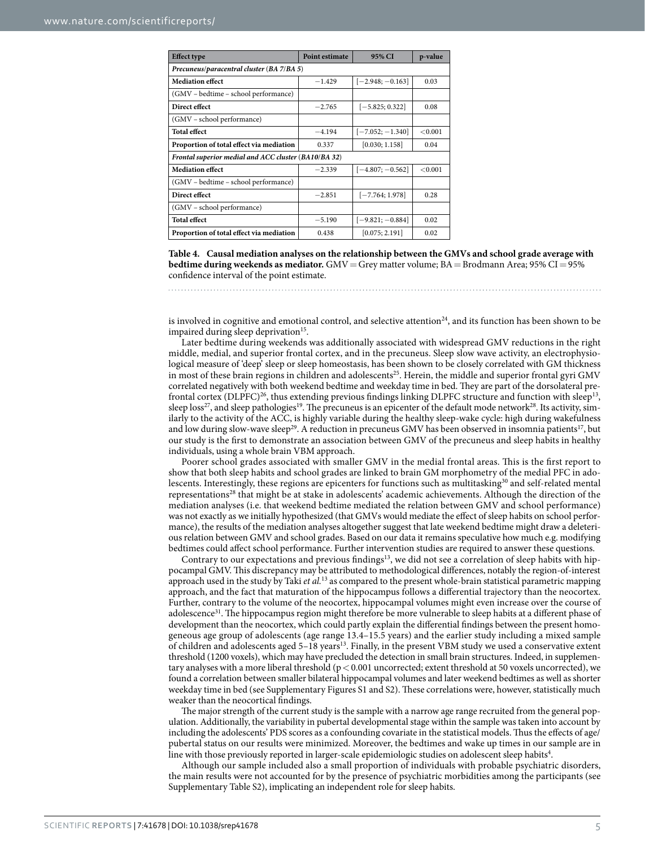| <b>Effect type</b>                                   | <b>Point estimate</b> | 95% CI             | p-value |  |  |  |  |  |
|------------------------------------------------------|-----------------------|--------------------|---------|--|--|--|--|--|
| Precuneus/paracentral cluster (BA 7/BA 5)            |                       |                    |         |  |  |  |  |  |
| <b>Mediation effect</b>                              | $-1.429$              | $[-2.948; -0.163]$ | 0.03    |  |  |  |  |  |
| (GMV – bedtime – school performance)                 |                       |                    |         |  |  |  |  |  |
| Direct effect                                        | $-2.765$              | $[-5.825; 0.322]$  | 0.08    |  |  |  |  |  |
| (GMV – school performance)                           |                       |                    |         |  |  |  |  |  |
| <b>Total effect</b>                                  | $-4.194$              | $[-7.052; -1.340]$ | < 0.001 |  |  |  |  |  |
| Proportion of total effect via mediation             | 0.337                 | [0.030; 1.158]     | 0.04    |  |  |  |  |  |
| Frontal superior medial and ACC cluster (BA10/BA 32) |                       |                    |         |  |  |  |  |  |
| <b>Mediation effect</b>                              | $-2.339$              | $[-4.807; -0.562]$ | < 0.001 |  |  |  |  |  |
| (GMV - bedtime - school performance)                 |                       |                    |         |  |  |  |  |  |
| Direct effect                                        | $-2.851$              | $[-7.764; 1.978]$  | 0.28    |  |  |  |  |  |
| (GMV - school performance)                           |                       |                    |         |  |  |  |  |  |
| <b>Total effect</b>                                  | $-5.190$              | $[-9.821; -0.884]$ | 0.02    |  |  |  |  |  |
| Proportion of total effect via mediation             | 0.438                 | [0.075; 2.191]     | 0.02    |  |  |  |  |  |

**Table 4. Causal mediation analyses on the relationship between the GMVs and school grade average with bedtime during weekends as mediator.** GMV=Grey matter volume; BA=Brodmann Area; 95% CI=95% confidence interval of the point estimate.

is involved in cognitive and emotional control, and selective attention<sup>24</sup>, and its function has been shown to be impaired during sleep deprivation<sup>15</sup>.

Later bedtime during weekends was additionally associated with widespread GMV reductions in the right middle, medial, and superior frontal cortex, and in the precuneus. Sleep slow wave activity, an electrophysiological measure of 'deep' sleep or sleep homeostasis, has been shown to be closely correlated with GM thickness in most of these brain regions in children and adolescents<sup>25</sup>. Herein, the middle and superior frontal gyri GMV correlated negatively with both weekend bedtime and weekday time in bed. They are part of the dorsolateral prefrontal cortex (DLPFC)<sup>26</sup>, thus extending previous findings linking DLPFC structure and function with sleep<sup>13</sup>, sleep loss<sup>27</sup>, and sleep pathologies<sup>19</sup>. The precuneus is an epicenter of the default mode network<sup>28</sup>. Its activity, similarly to the activity of the ACC, is highly variable during the healthy sleep-wake cycle: high during wakefulness and low during slow-wave sleep<sup>29</sup>. A reduction in precuneus GMV has been observed in insomnia patients<sup>17</sup>, but our study is the first to demonstrate an association between GMV of the precuneus and sleep habits in healthy individuals, using a whole brain VBM approach.

Poorer school grades associated with smaller GMV in the medial frontal areas. This is the first report to show that both sleep habits and school grades are linked to brain GM morphometry of the medial PFC in adolescents. Interestingly, these regions are epicenters for functions such as multitasking<sup>30</sup> and self-related mental representations28 that might be at stake in adolescents' academic achievements. Although the direction of the mediation analyses (i.e. that weekend bedtime mediated the relation between GMV and school performance) was not exactly as we initially hypothesized (that GMVs would mediate the effect of sleep habits on school performance), the results of the mediation analyses altogether suggest that late weekend bedtime might draw a deleterious relation between GMV and school grades. Based on our data it remains speculative how much e.g. modifying bedtimes could affect school performance. Further intervention studies are required to answer these questions.

Contrary to our expectations and previous findings<sup>13</sup>, we did not see a correlation of sleep habits with hippocampal GMV. This discrepancy may be attributed to methodological differences, notably the region-of-interest approach used in the study by Taki *et al.*13 as compared to the present whole-brain statistical parametric mapping approach, and the fact that maturation of the hippocampus follows a differential trajectory than the neocortex. Further, contrary to the volume of the neocortex, hippocampal volumes might even increase over the course of adolescence<sup>31</sup>. The hippocampus region might therefore be more vulnerable to sleep habits at a different phase of development than the neocortex, which could partly explain the differential findings between the present homogeneous age group of adolescents (age range 13.4–15.5 years) and the earlier study including a mixed sample of children and adolescents aged 5–18 years13. Finally, in the present VBM study we used a conservative extent threshold (1200 voxels), which may have precluded the detection in small brain structures. Indeed, in supplementary analyses with a more liberal threshold (p< 0.001 uncorrected; extent threshold at 50 voxels uncorrected), we found a correlation between smaller bilateral hippocampal volumes and later weekend bedtimes as well as shorter weekday time in bed (see Supplementary Figures S1 and S2). These correlations were, however, statistically much weaker than the neocortical findings.

The major strength of the current study is the sample with a narrow age range recruited from the general population. Additionally, the variability in pubertal developmental stage within the sample was taken into account by including the adolescents' PDS scores as a confounding covariate in the statistical models. Thus the effects of age/ pubertal status on our results were minimized. Moreover, the bedtimes and wake up times in our sample are in line with those previously reported in larger-scale epidemiologic studies on adolescent sleep habits $^4$ .

Although our sample included also a small proportion of individuals with probable psychiatric disorders, the main results were not accounted for by the presence of psychiatric morbidities among the participants (see Supplementary Table S2), implicating an independent role for sleep habits.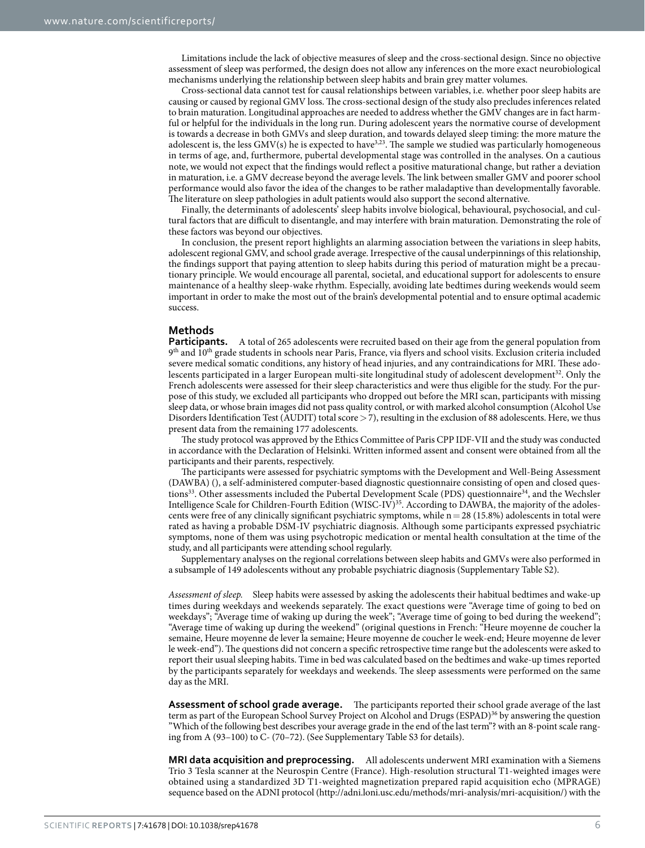Limitations include the lack of objective measures of sleep and the cross-sectional design. Since no objective assessment of sleep was performed, the design does not allow any inferences on the more exact neurobiological mechanisms underlying the relationship between sleep habits and brain grey matter volumes.

Cross-sectional data cannot test for causal relationships between variables, i.e. whether poor sleep habits are causing or caused by regional GMV loss. The cross-sectional design of the study also precludes inferences related to brain maturation. Longitudinal approaches are needed to address whether the GMV changes are in fact harmful or helpful for the individuals in the long run. During adolescent years the normative course of development is towards a decrease in both GMVs and sleep duration, and towards delayed sleep timing: the more mature the adolescent is, the less  $\text{GMV(s)}$  he is expected to have<sup>3,23</sup>. The sample we studied was particularly homogeneous in terms of age, and, furthermore, pubertal developmental stage was controlled in the analyses. On a cautious note, we would not expect that the findings would reflect a positive maturational change, but rather a deviation in maturation, i.e. a GMV decrease beyond the average levels. The link between smaller GMV and poorer school performance would also favor the idea of the changes to be rather maladaptive than developmentally favorable. The literature on sleep pathologies in adult patients would also support the second alternative.

Finally, the determinants of adolescents' sleep habits involve biological, behavioural, psychosocial, and cultural factors that are difficult to disentangle, and may interfere with brain maturation. Demonstrating the role of these factors was beyond our objectives.

In conclusion, the present report highlights an alarming association between the variations in sleep habits, adolescent regional GMV, and school grade average. Irrespective of the causal underpinnings of this relationship, the findings support that paying attention to sleep habits during this period of maturation might be a precautionary principle. We would encourage all parental, societal, and educational support for adolescents to ensure maintenance of a healthy sleep-wake rhythm. Especially, avoiding late bedtimes during weekends would seem important in order to make the most out of the brain's developmental potential and to ensure optimal academic success.

#### **Methods**

**Participants.** A total of 265 adolescents were recruited based on their age from the general population from 9th and 10th grade students in schools near Paris, France, via flyers and school visits. Exclusion criteria included severe medical somatic conditions, any history of head injuries, and any contraindications for MRI. These adolescents participated in a larger European multi-site longitudinal study of adolescent development<sup>32</sup>. Only the French adolescents were assessed for their sleep characteristics and were thus eligible for the study. For the purpose of this study, we excluded all participants who dropped out before the MRI scan, participants with missing sleep data, or whose brain images did not pass quality control, or with marked alcohol consumption (Alcohol Use Disorders Identification Test (AUDIT) total score  $>$  7), resulting in the exclusion of 88 adolescents. Here, we thus present data from the remaining 177 adolescents.

The study protocol was approved by the Ethics Committee of Paris CPP IDF-VII and the study was conducted in accordance with the Declaration of Helsinki. Written informed assent and consent were obtained from all the participants and their parents, respectively.

The participants were assessed for psychiatric symptoms with the Development and Well-Being Assessment (DAWBA) (), a self-administered computer-based diagnostic questionnaire consisting of open and closed questions<sup>33</sup>. Other assessments included the Pubertal Development Scale (PDS) questionnaire<sup>34</sup>, and the Wechsler Intelligence Scale for Children-Fourth Edition (WISC-IV)<sup>35</sup>. According to DAWBA, the majority of the adolescents were free of any clinically significant psychiatric symptoms, while  $n=28$  (15.8%) adolescents in total were rated as having a probable DSM-IV psychiatric diagnosis. Although some participants expressed psychiatric symptoms, none of them was using psychotropic medication or mental health consultation at the time of the study, and all participants were attending school regularly.

Supplementary analyses on the regional correlations between sleep habits and GMVs were also performed in a subsample of 149 adolescents without any probable psychiatric diagnosis (Supplementary Table S2).

*Assessment of sleep.* Sleep habits were assessed by asking the adolescents their habitual bedtimes and wake-up times during weekdays and weekends separately. The exact questions were "Average time of going to bed on weekdays"; "Average time of waking up during the week"; "Average time of going to bed during the weekend"; "Average time of waking up during the weekend" (original questions in French: "Heure moyenne de coucher la semaine, Heure moyenne de lever la semaine; Heure moyenne de coucher le week-end; Heure moyenne de lever le week-end"). The questions did not concern a specific retrospective time range but the adolescents were asked to report their usual sleeping habits. Time in bed was calculated based on the bedtimes and wake-up times reported by the participants separately for weekdays and weekends. The sleep assessments were performed on the same day as the MRI.

**Assessment of school grade average.** The participants reported their school grade average of the last term as part of the European School Survey Project on Alcohol and Drugs (ESPAD)36 by answering the question "Which of the following best describes your average grade in the end of the last term"? with an 8-point scale ranging from A (93–100) to C- (70–72). (See Supplementary Table S3 for details).

**MRI data acquisition and preprocessing.** All adolescents underwent MRI examination with a Siemens Trio 3 Tesla scanner at the Neurospin Centre (France). High-resolution structural T1-weighted images were obtained using a standardized 3D T1-weighted magnetization prepared rapid acquisition echo (MPRAGE) sequence based on the ADNI protocol ([http://adni.loni.usc.edu/methods/mri-analysis/mri-acquisition/\)](http://adni.loni.usc.edu/methods/mri-analysis/mri-acquisition/) with the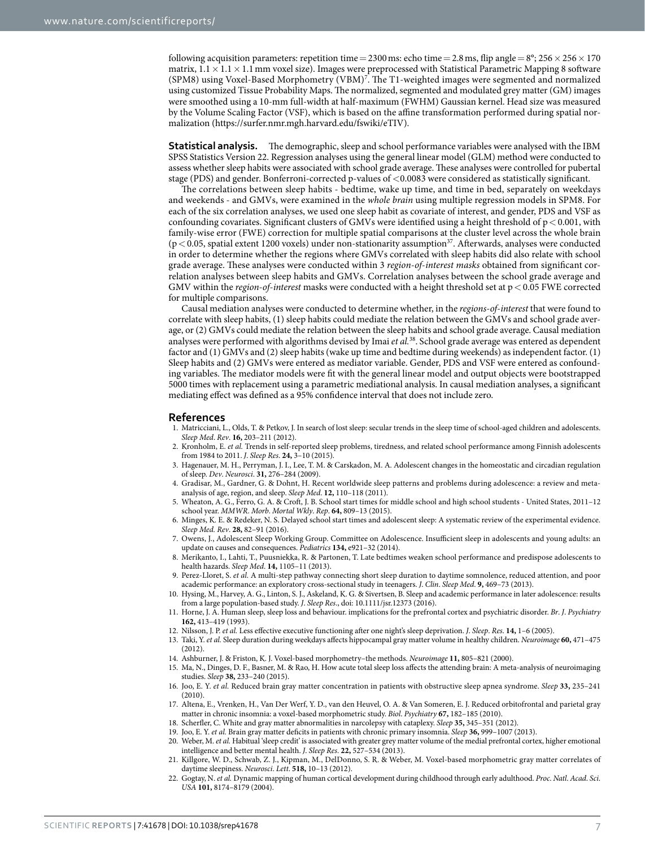following acquisition parameters: repetition time = 2300 ms: echo time = 2.8 ms, flip angle =  $8^\circ$ ; 256  $\times$  256  $\times$  170 matrix,  $1.1 \times 1.1 \times 1.1$  mm voxel size). Images were preprocessed with Statistical Parametric Mapping 8 software (SPM8) using Voxel-Based Morphometry (VBM)7 . The T1-weighted images were segmented and normalized using customized Tissue Probability Maps. The normalized, segmented and modulated grey matter (GM) images were smoothed using a 10-mm full-width at half-maximum (FWHM) Gaussian kernel. Head size was measured by the Volume Scaling Factor (VSF), which is based on the affine transformation performed during spatial normalization ([https://surfer.nmr.mgh.harvard.edu/fswiki/eTIV\)](https://surfer.nmr.mgh.harvard.edu/fswiki/eTIV).

**Statistical analysis.** The demographic, sleep and school performance variables were analysed with the IBM SPSS Statistics Version 22. Regression analyses using the general linear model (GLM) method were conducted to assess whether sleep habits were associated with school grade average. These analyses were controlled for pubertal stage (PDS) and gender. Bonferroni-corrected p-values of <0.0083 were considered as statistically significant.

The correlations between sleep habits - bedtime, wake up time, and time in bed, separately on weekdays and weekends - and GMVs, were examined in the *whole brain* using multiple regression models in SPM8. For each of the six correlation analyses, we used one sleep habit as covariate of interest, and gender, PDS and VSF as confounding covariates. Significant clusters of GMVs were identified using a height threshold of  $p < 0.001$ , with family-wise error (FWE) correction for multiple spatial comparisons at the cluster level across the whole brain  $(p<0.05$ , spatial extent 1200 voxels) under non-stationarity assumption<sup>37</sup>. Afterwards, analyses were conducted in order to determine whether the regions where GMVs correlated with sleep habits did also relate with school grade average. These analyses were conducted within 3 *region*-*of*-*interest masks* obtained from significant correlation analyses between sleep habits and GMVs. Correlation analyses between the school grade average and GMV within the *region*-*of*-*interest* masks were conducted with a height threshold set at p< 0.05 FWE corrected for multiple comparisons.

Causal mediation analyses were conducted to determine whether, in the *regions*-*of*-*interest* that were found to correlate with sleep habits, (1) sleep habits could mediate the relation between the GMVs and school grade average, or (2) GMVs could mediate the relation between the sleep habits and school grade average. Causal mediation analyses were performed with algorithms devised by Imai *et al.*38. School grade average was entered as dependent factor and (1) GMVs and (2) sleep habits (wake up time and bedtime during weekends) as independent factor. (1) Sleep habits and (2) GMVs were entered as mediator variable. Gender, PDS and VSF were entered as confounding variables. The mediator models were fit with the general linear model and output objects were bootstrapped 5000 times with replacement using a parametric mediational analysis. In causal mediation analyses, a significant mediating effect was defined as a 95% confidence interval that does not include zero.

#### **References**

- 1. Matricciani, L., Olds, T. & Petkov, J. In search of lost sleep: secular trends in the sleep time of school-aged children and adolescents. *Sleep Med*. *Rev*. **16,** 203–211 (2012).
- 2. Kronholm, E. *et al.* Trends in self-reported sleep problems, tiredness, and related school performance among Finnish adolescents from 1984 to 2011. *J*. *Sleep Res*. **24,** 3–10 (2015).
- 3. Hagenauer, M. H., Perryman, J. I., Lee, T. M. & Carskadon, M. A. Adolescent changes in the homeostatic and circadian regulation of sleep. *Dev*. *Neurosci*. **31,** 276–284 (2009).
- 4. Gradisar, M., Gardner, G. & Dohnt, H. Recent worldwide sleep patterns and problems during adolescence: a review and metaanalysis of age, region, and sleep. *Sleep Med*. **12,** 110–118 (2011).
- 5. Wheaton, A. G., Ferro, G. A. & Croft, J. B. School start times for middle school and high school students United States, 2011–12 school year. *MMWR*. *Morb*. *Mortal Wkly*. *Rep*. **64,** 809–13 (2015).
- 6. Minges, K. E. & Redeker, N. S. Delayed school start times and adolescent sleep: A systematic review of the experimental evidence. *Sleep Med. Rev*. **28,** 82–91 (2016).
- 7. Owens, J., Adolescent Sleep Working Group. Committee on Adolescence. Insufficient sleep in adolescents and young adults: an update on causes and consequences. *Pediatrics* **134,** e921–32 (2014).
- 8. Merikanto, I., Lahti, T., Puusniekka, R. & Partonen, T. Late bedtimes weaken school performance and predispose adolescents to health hazards. *Sleep Med*. **14,** 1105–11 (2013).
- 9. Perez-Lloret, S. *et al.* A multi-step pathway connecting short sleep duration to daytime somnolence, reduced attention, and poor academic performance: an exploratory cross-sectional study in teenagers. *J*. *Clin*. *Sleep Med*. **9,** 469–73 (2013).
- 10. Hysing, M., Harvey, A. G., Linton, S. J., Askeland, K. G. & Sivertsen, B. Sleep and academic performance in later adolescence: results from a large population-based study. *J*. *Sleep Res*., doi: 10.1111/jsr.12373 (2016).
- 11. Horne, J. A. Human sleep, sleep loss and behaviour. implications for the prefrontal cortex and psychiatric disorder. *Br*. *J*. *Psychiatry* **162,** 413–419 (1993).
- 12. Nilsson, J. P. *et al.* Less effective executive functioning after one night's sleep deprivation. *J*. *Sleep*. *Res*. **14,** 1–6 (2005).
- 13. Taki, Y. *et al.* Sleep duration during weekdays affects hippocampal gray matter volume in healthy children. *Neuroimage* **60,** 471–475 (2012).
- 14. Ashburner, J. & Friston, K. J. Voxel-based morphometry–the methods. *Neuroimage* **11,** 805–821 (2000).
- 15. Ma, N., Dinges, D. F., Basner, M. & Rao, H. How acute total sleep loss affects the attending brain: A meta-analysis of neuroimaging studies. *Sleep* **38,** 233–240 (2015).
- 16. Joo, E. Y. *et al.* Reduced brain gray matter concentration in patients with obstructive sleep apnea syndrome. *Sleep* **33,** 235–241  $(2010)$
- 17. Altena, E., Vrenken, H., Van Der Werf, Y. D., van den Heuvel, O. A. & Van Someren, E. J. Reduced orbitofrontal and parietal gray matter in chronic insomnia: a voxel-based morphometric study. *Biol*. *Psychiatry* **67,** 182–185 (2010).
- 18. Scherfler, C. White and gray matter abnormalities in narcolepsy with cataplexy. *Sleep* **35,** 345–351 (2012).
- 19. Joo, E. Y. *et al.* Brain gray matter deficits in patients with chronic primary insomnia. *Sleep* **36,** 999–1007 (2013).
- 20. Weber, M. *et al.* Habitual 'sleep credit' is associated with greater grey matter volume of the medial prefrontal cortex, higher emotional intelligence and better mental health. *J*. *Sleep Res*. **22,** 527–534 (2013).
- 21. Killgore, W. D., Schwab, Z. J., Kipman, M., DelDonno, S. R. & Weber, M. Voxel-based morphometric gray matter correlates of daytime sleepiness. *Neurosci*. *Lett*. **518,** 10–13 (2012).
- 22. Gogtay, N. *et al.* Dynamic mapping of human cortical development during childhood through early adulthood. *Proc*. *Natl*. *Acad*. *Sci*. *USA* **101,** 8174–8179 (2004).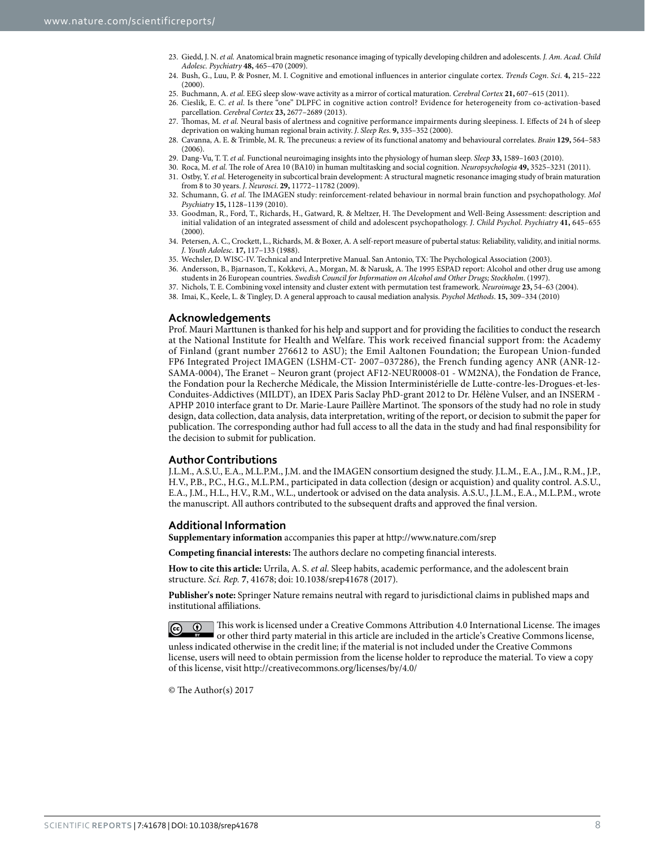- 23. Giedd, J. N. *et al.* Anatomical brain magnetic resonance imaging of typically developing children and adolescents. *J. Am. Acad. Child Adolesc. Psychiatry* **48,** 465–470 (2009).
- 24. Bush, G., Luu, P. & Posner, M. I. Cognitive and emotional influences in anterior cingulate cortex. *Trends Cogn*. *Sci*. **4,** 215–222  $(2000)$
- 25. Buchmann, A. *et al.* EEG sleep slow-wave activity as a mirror of cortical maturation. *Cerebral Cortex* **21,** 607–615 (2011).
- 26. Cieslik, E. C. *et al.* Is there "one" DLPFC in cognitive action control? Evidence for heterogeneity from co-activation-based parcellation. *Cerebral Cortex* **23,** 2677–2689 (2013).
- 27. Thomas, M. *et al.* Neural basis of alertness and cognitive performance impairments during sleepiness. I. Effects of 24 h of sleep deprivation on waking human regional brain activity. *J*. *Sleep Res*. **9,** 335–352 (2000).
- 28. Cavanna, A. E. & Trimble, M. R. The precuneus: a review of its functional anatomy and behavioural correlates. *Brain* **129,** 564–583 (2006).
- 29. Dang-Vu, T. T. *et al.* Functional neuroimaging insights into the physiology of human sleep. *Sleep* **33,** 1589–1603 (2010).
- 30. Roca, M. *et al.* The role of Area 10 (BA10) in human multitasking and social cognition. *Neuropsychologia* **49,** 3525–3231 (2011).
- 31. Ostby, Y. *et al.* Heterogeneity in subcortical brain development: A structural magnetic resonance imaging study of brain maturation from 8 to 30 years. *J*. *Neurosci*. **29,** 11772–11782 (2009).
- 32. Schumann, G. *et al.* The IMAGEN study: reinforcement-related behaviour in normal brain function and psychopathology. *Mol Psychiatry* **15,** 1128–1139 (2010).
- 33. Goodman, R., Ford, T., Richards, H., Gatward, R. & Meltzer, H. The Development and Well-Being Assessment: description and initial validation of an integrated assessment of child and adolescent psychopathology. *J*. *Child Psychol*. *Psychiatry* **41,** 645–655  $(2000)$
- 34. Petersen, A. C., Crockett, L., Richards, M. & Boxer, A. A self-report measure of pubertal status: Reliability, validity, and initial norms. *J*. *Youth Adolesc*. **17,** 117–133 (1988).
- 35. Wechsler, D. WISC-IV. Technical and Interpretive Manual. San Antonio, TX: The Psychological Association (2003).
- 36. Andersson, B., Bjarnason, T., Kokkevi, A., Morgan, M. & Narusk, A. The 1995 ESPAD report: Alcohol and other drug use among students in 26 European countries. *Swedish Council for Information on Alcohol and Other Drugs; Stockholm*. (1997).
- 37. Nichols, T. E. Combining voxel intensity and cluster extent with permutation test framework. *Neuroimage* **23,** 54–63 (2004).
- 38. Imai, K., Keele, L. & Tingley, D. A general approach to causal mediation analysis. *Psychol Methods*. **15,** 309–334 (2010)

#### **Acknowledgements**

Prof. Mauri Marttunen is thanked for his help and support and for providing the facilities to conduct the research at the National Institute for Health and Welfare. This work received financial support from: the Academy of Finland (grant number 276612 to ASU); the Emil Aaltonen Foundation; the European Union-funded FP6 Integrated Project IMAGEN (LSHM-CT- 2007–037286), the French funding agency ANR (ANR-12- SAMA-0004), The Eranet – Neuron grant (project AF12-NEUR0008-01 - WM2NA), the Fondation de France, the Fondation pour la Recherche Médicale, the Mission Interministérielle de Lutte-contre-les-Drogues-et-les-Conduites-Addictives (MILDT), an IDEX Paris Saclay PhD-grant 2012 to Dr. Hélène Vulser, and an INSERM - APHP 2010 interface grant to Dr. Marie-Laure Paillère Martinot. The sponsors of the study had no role in study design, data collection, data analysis, data interpretation, writing of the report, or decision to submit the paper for publication. The corresponding author had full access to all the data in the study and had final responsibility for the decision to submit for publication.

#### **Author Contributions**

J.L.M., A.S.U., E.A., M.L.P.M., J.M. and the IMAGEN consortium designed the study. J.L.M., E.A., J.M., R.M., J.P., H.V., P.B., P.C., H.G., M.L.P.M., participated in data collection (design or acquistion) and quality control. A.S.U., E.A., J.M., H.L., H.V., R.M., W.L., undertook or advised on the data analysis. A.S.U., J.L.M., E.A., M.L.P.M., wrote the manuscript. All authors contributed to the subsequent drafts and approved the final version.

#### **Additional Information**

**Supplementary information** accompanies this paper at <http://www.nature.com/srep>

**Competing financial interests:** The authors declare no competing financial interests.

**How to cite this article:** Urrila, A. S. *et al.* Sleep habits, academic performance, and the adolescent brain structure. *Sci. Rep.* **7**, 41678; doi: 10.1038/srep41678 (2017).

**Publisher's note:** Springer Nature remains neutral with regard to jurisdictional claims in published maps and institutional affiliations.

This work is licensed under a Creative Commons Attribution 4.0 International License. The images  $\left($ cc or other third party material in this article are included in the article's Creative Commons license, unless indicated otherwise in the credit line; if the material is not included under the Creative Commons license, users will need to obtain permission from the license holder to reproduce the material. To view a copy of this license, visit<http://creativecommons.org/licenses/by/4.0/>

© The Author(s) 2017